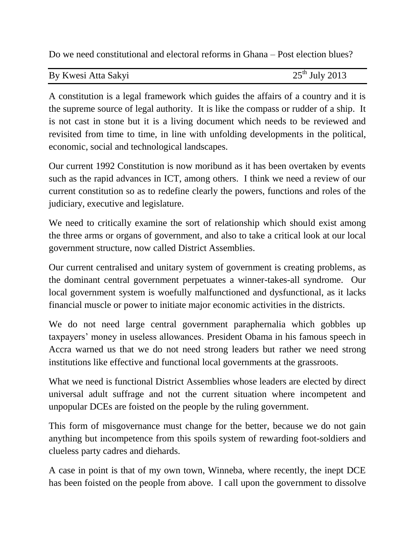Do we need constitutional and electoral reforms in Ghana – Post election blues?

| By Kwesi Atta Sakyi | $25th$ July 2013 |
|---------------------|------------------|

A constitution is a legal framework which guides the affairs of a country and it is the supreme source of legal authority. It is like the compass or rudder of a ship. It is not cast in stone but it is a living document which needs to be reviewed and revisited from time to time, in line with unfolding developments in the political, economic, social and technological landscapes.

Our current 1992 Constitution is now moribund as it has been overtaken by events such as the rapid advances in ICT, among others. I think we need a review of our current constitution so as to redefine clearly the powers, functions and roles of the judiciary, executive and legislature.

We need to critically examine the sort of relationship which should exist among the three arms or organs of government, and also to take a critical look at our local government structure, now called District Assemblies.

Our current centralised and unitary system of government is creating problems, as the dominant central government perpetuates a winner-takes-all syndrome. Our local government system is woefully malfunctioned and dysfunctional, as it lacks financial muscle or power to initiate major economic activities in the districts.

We do not need large central government paraphernalia which gobbles up taxpayers' money in useless allowances. President Obama in his famous speech in Accra warned us that we do not need strong leaders but rather we need strong institutions like effective and functional local governments at the grassroots.

What we need is functional District Assemblies whose leaders are elected by direct universal adult suffrage and not the current situation where incompetent and unpopular DCEs are foisted on the people by the ruling government.

This form of misgovernance must change for the better, because we do not gain anything but incompetence from this spoils system of rewarding foot-soldiers and clueless party cadres and diehards.

A case in point is that of my own town, Winneba, where recently, the inept DCE has been foisted on the people from above. I call upon the government to dissolve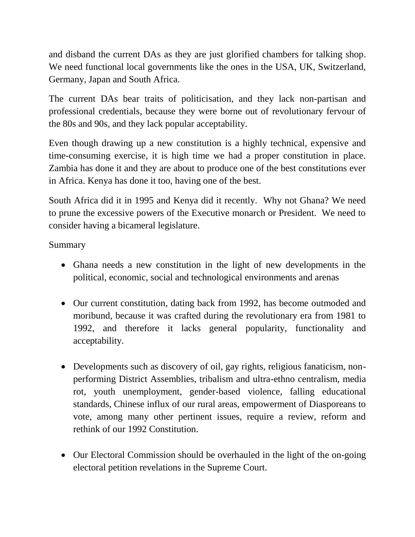and disband the current DAs as they are just glorified chambers for talking shop. We need functional local governments like the ones in the USA, UK, Switzerland, Germany, Japan and South Africa.

The current DAs bear traits of politicisation, and they lack non-partisan and professional credentials, because they were borne out of revolutionary fervour of the 80s and 90s, and they lack popular acceptability.

Even though drawing up a new constitution is a highly technical, expensive and time-consuming exercise, it is high time we had a proper constitution in place. Zambia has done it and they are about to produce one of the best constitutions ever in Africa. Kenya has done it too, having one of the best.

South Africa did it in 1995 and Kenya did it recently. Why not Ghana? We need to prune the excessive powers of the Executive monarch or President. We need to consider having a bicameral legislature.

Summary

- Ghana needs a new constitution in the light of new developments in the political, economic, social and technological environments and arenas
- Our current constitution, dating back from 1992, has become outmoded and moribund, because it was crafted during the revolutionary era from 1981 to 1992, and therefore it lacks general popularity, functionality and acceptability.
- Developments such as discovery of oil, gay rights, religious fanaticism, nonperforming District Assemblies, tribalism and ultra-ethno centralism, media rot, youth unemployment, gender-based violence, falling educational standards, Chinese influx of our rural areas, empowerment of Diasporeans to vote, among many other pertinent issues, require a review, reform and rethink of our 1992 Constitution.
- Our Electoral Commission should be overhauled in the light of the on-going electoral petition revelations in the Supreme Court.